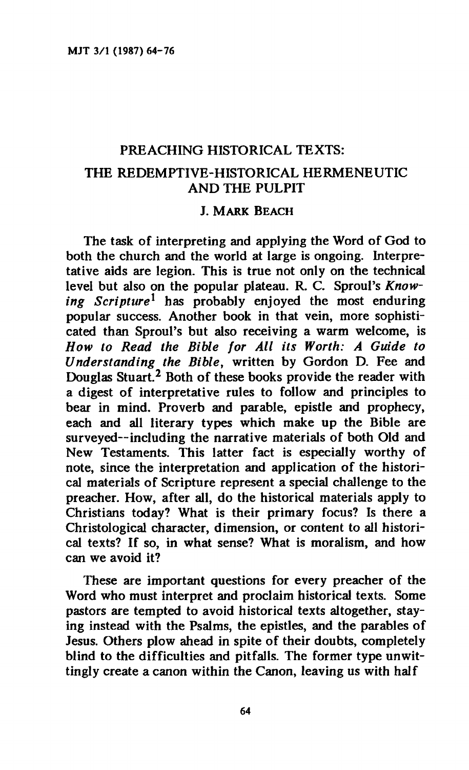# **PREACHING HISTORICAL TEXTS: THE REDEMPTIVE-HISTORICAL HERMENEUTIC AND THE PULPIT**

#### **J. MARK BEACH**

**The task of interpreting and applying the Word of God to both the church and the world at large is ongoing. Interpretative aids are legion. This is true not only on the technical**  level but also on the popular plateau. R. C. Sproul's *Knowing Scripture<sup>1</sup>*  **has probably enjoyed the most enduring popular success. Another book in that vein, more sophisti**cated than Sproul's but also receiving a warm welcome, is *How to Read the Bible for All its Worth: A Guide to Understanding the Bible,* **written by Gordon D. Fee and Douglas Stuart.<sup>2</sup> Both of these books provide the reader with a digest of interpretative rules to follow and principles to bear in mind. Proverb and parable, epistle and prophecy, each and all literary types which make up the Bible are surveyed—including the narrative materials of both Old and New Testaments. This latter fact is especially worthy of note, since the interpretation and application of the historical materials of Scripture represent a special challenge to the preacher. How, after all, do the historical materials apply to Christians today? What is their primary focus? Is there a Christological character, dimension, or content to all histori**cal texts? If so, in what sense? What is moralism, and how **can we avoid it?** 

**These are important questions for every preacher of the Word who must interpret and proclaim historical texts. Some pastors are tempted to avoid historical texts altogether, staying instead with the Psalms, the epistles, and the parables of Jesus. Others plow ahead in spite of their doubts, completely blind to the difficulties and pitfalls. The former type unwittingly create a canon within the Canon, leaving us with half**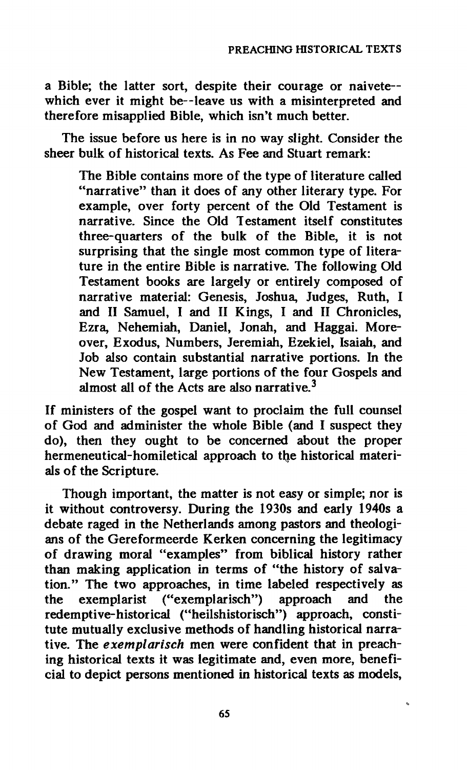**a Bible; the latter sort, despite their courage or naivete**  which ever it might be--leave us with a misinterpreted and **therefore misapplied Bible, which isn't much better.** 

**The issue before us here is in no way slight. Consider the sheer bulk of historical texts. As Fee and Stuart remark:** 

**The Bible contains more of the type of literature called "narrative" than it does of any other literary type. For example, over forty percent of the Old Testament is narrative. Since the Old Testament itself constitutes three-quarters of the bulk of the Bible, it is not surprising that the single most common type of literature in the entire Bible is narrative. The following Old Testament books are largely or entirely composed of narrative material: Genesis, Joshua, Judges, Ruth, I and II Samuel, I and II Kings, I and II Chronicles, Ezra, Nehemiah, Daniel, Jonah, and Haggai. Moreover, Exodus, Numbers, Jeremiah, Ezekiel, Isaiah, and Job also contain substantial narrative portions. In the New Testament, large portions of the four Gospels and almost all of the Acts are also narrative.<sup>3</sup>**

**If ministers of the gospel want to proclaim the full counsel of God and administer the whole Bible (and I suspect they do), then they ought to be concerned about the proper**  hermeneutical-homiletical approach to the historical materi**als of the Scripture.** 

**Though important, the matter is not easy or simple; nor is it without controversy. During the 1930s and early 1940s a debate raged in the Netherlands among pastors and theologians of the Gereformeerde Kerken concerning the legitimacy of drawing moral "examples" from biblical history rather than making application in terms of "the history of salvation." The two approaches, in time labeled respectively as the exemplarist ("exemplarisch") approach and the redemptive-historical ("heilshistorisch") approach, constitute mutually exclusive methods of handling historical narrative. The** *exemplarisch* **men were confident that in preaching historical texts it was legitimate and, even more, beneficial to depict persons mentioned in historical texts as models,**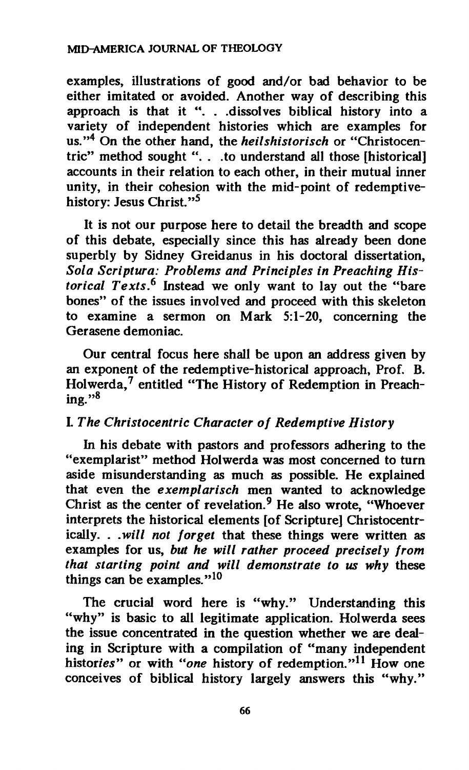**examples, illustrations of good and/or bad behavior to be either imitated or avoided. Another way of describing this approach is that it ". . .dissolves biblical history into a variety of independent histories which are examples for us."<sup>4</sup> On the other hand, the** *heilshistorisch* **or "Christocentric" method sought ". . .to understand all those [historical] accounts in their relation to each other, in their mutual inner unity, in their cohesion with the mid-point of redemptivehistory: Jesus Christ."<sup>5</sup>**

**It is not our purpose here to detail the breadth and scope of this debate, especially since this has already been done superbly by Sidney Greidanus in his doctoral dissertation,**  *Sola Scriptura: Problems and Principles in Preaching Historical Texts.<sup>6</sup>*  **Instead we only want to lay out the "bare bones" of the issues involved and proceed with this skeleton to examine a sermon on Mark 5:1-20, concerning the Gerasene demoniac.** 

**Our central focus here shall be upon an address given by an exponent of the redemptive-historical approach, Prof. B. Holwerda,<sup>7</sup> entitled "The History of Redemption in Preaching."<sup>8</sup>**

### **I.** *The Christocentric Character of Redemptive History*

*in* **his debate with pastors and professors adhering to the "exemplarist" method Holwerda was most concerned to turn aside misunderstanding as much as possible. He explained that even the** *exemplarisch* **men wanted to acknowledge Christ as the center of revelation.<sup>9</sup> He also wrote, "Whoever interprets the historical elements [of Scripture] Christocentrically. .** *.will not forget* **that these things were written as examples for us,** *but he will rather proceed precisely from that starting point and will demonstrate to us why* **these things can be examples."<sup>10</sup>**

**The crucial word here is "why." Understanding this "why" is basic to all legitimate application. Holwerda sees the issue concentrated in the question whether we are dealing in Scripture with a compilation of "many independent histories" or with** *"one* **history of redemption."<sup>11</sup> How one conceives of biblical history largely answers this "why."**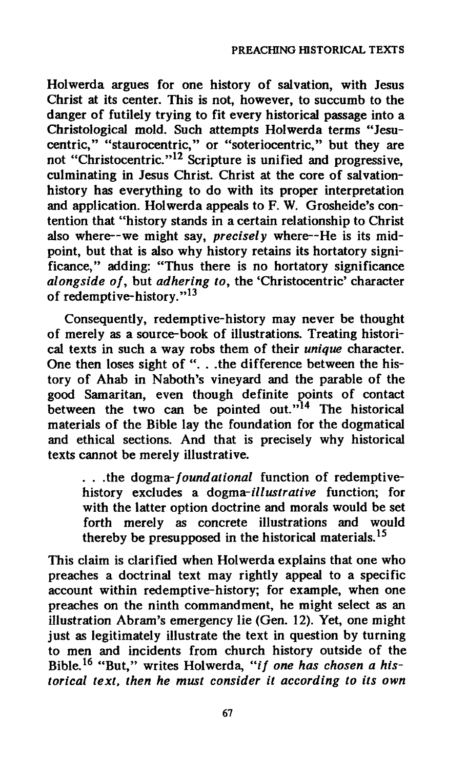**Holwerda argues for one history of salvation, with Jesus Christ at its center. This is not, however, to succumb to the danger of futilely trying to fit every historical passage into a Christological mold. Such attempts Holwerda terms "Jesucentric," "staurocentric," or "soteriocentric," but they are not "Christocentric."<sup>12</sup> Scripture is unified and progressive, culminating in Jesus Christ. Christ at the core of salvationhistory has everything to do with its proper interpretation and application. Holwerda appeals to F. W. Grosheide's contention that "history stands in a certain relationship to Christ also where—we might say,** *precisely* **where—He is its midpoint, but that is also why history retains its hortatory significance," adding: "Thus there is no hortatory significance**  *alongside of,* **but** *adhering to,* **the 'Christocentric' character of redemptive-history."<sup>13</sup>**

**Consequently, redemptive-history may never be thought of merely as a source-book of illustrations. Treating historical texts in such a way robs them of their** *unique* **character. One then loses sight of ". . .the difference between the history of Ahab in Naboth's vineyard and the parable of the good Samaritan, even though definite points of contact between the two can be pointed out."<sup>14</sup> The historical materials of the Bible lay the foundation for the dogmatical and ethical sections. And that is precisely why historical texts cannot be merely illustrative.** 

**. . .the dogma-***foundational* **function of redemptivehistory excludes a dogma-***illustrative* **function; for with the latter option doctrine and morals would be set forth merely as concrete illustrations and would thereby be presupposed in the historical materials.<sup>15</sup>**

**This claim is clarified when Holwerda explains that one who preaches a doctrinal text may rightly appeal to a specific account within redemptive-history; for example, when one preaches on the ninth commandment, he might select as an illustration Abram's emergency lie (Gen. 12). Yet, one might just as legitimately illustrate the text in question by turning to men and incidents from church history outside of the**  Bible.<sup>16</sup> "But," writes Holwerda, "if one has chosen a his*torical text, then he must consider it according to its own*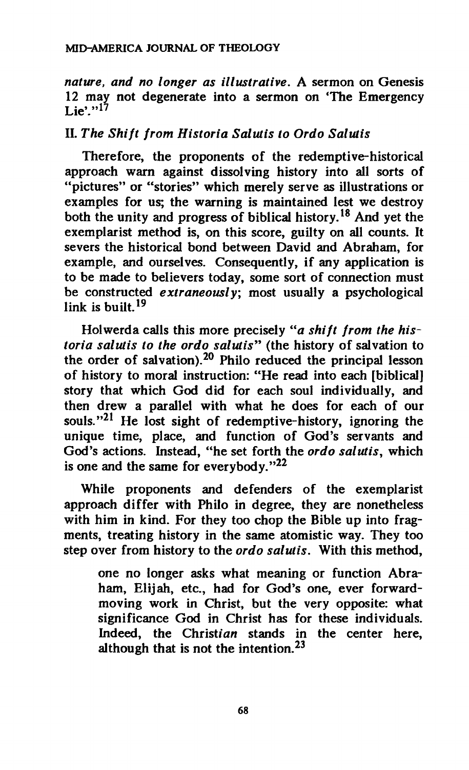*nature, and no longer as illustrative.* **A sermon on Genesis 12 may not degenerate into a sermon on 'The Emergency**   $\mathbf{L}$  ie'.<sup>17</sup>

## **II.** *The Shift from Historia Salíais to Ordo Saiutis*

**Therefore, the proponents of the redemptive-historical approach warn against dissolving history into all sorts of "pictures" or "stories" which merely serve as illustrations or examples for us; the warning is maintained lest we destroy both the unity and progress of biblical history.<sup>18</sup> And yet the exemplarist method is, on this score, guilty on all counts. It severs the historical bond between David and Abraham, for example, and ourselves. Consequently, if any application is to be made to believers today, some sort of connection must be constructed** *extraneously;* **most usually a psychological link is built.<sup>19</sup>**

**Holwerda calls this more precisely** *"a shift from the historia salutis to the ordo salutis"* **(the history of salvation to the order of salvation).<sup>20</sup> Philo reduced the principal lesson of history to moral instruction: "He read into each [biblical] story that which God did for each soul individually, and then drew a parallel with what he does for each of our souls."<sup>21</sup> He lost sight of redemptive-history, ignoring the unique time, place, and function of God's servants and God's actions. Instead, "he set forth the** *ordo salutis,* **which is one and the same for everybody."<sup>22</sup>**

**While proponents and defenders of the exemplarist approach differ with Philo in degree, they are nonetheless with him in kind. For they too chop the Bible up into fragments, treating history in the same atomistic way. They too step over from history to the** *ordo salutis.* **With this method,** 

**one no longer asks what meaning or function Abraham, Elijah, etc., had for God's one, ever forwardmoving work in Christ, but the very opposite: what significance God in Christ has for these individuals. Indeed, the Christian stands in the center here, although that is not the intention.<sup>23</sup>**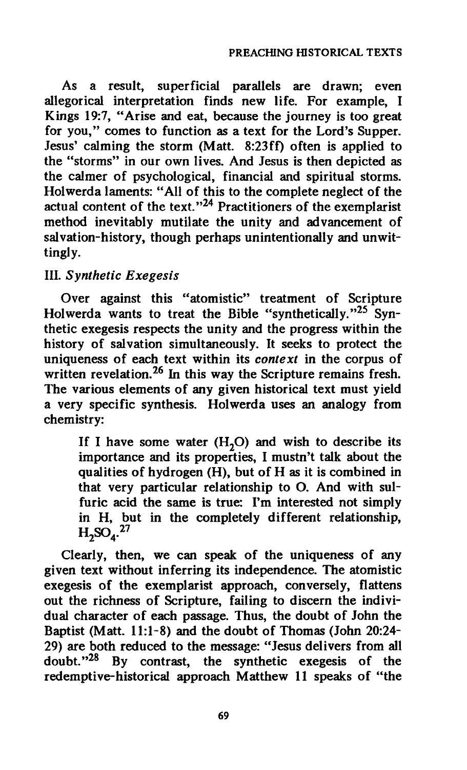**As a result, superficial parallels are drawn; even allegorical interpretation finds new life. For example, I Kings 19:7, "Arise and eat, because the journey is too great for you," comes to function as a text for the Lord's Supper. Jesus' calming the storm (Matt. 8:23ff) often is applied to the "storms" in our own lives. And Jesus is then depicted as the calmer of psychological, financial and spiritual storms. Holwerda laments: "All of this to the complete neglect of the actual content of the text."<sup>24</sup> Practitioners of the exemplarist method inevitably mutilate the unity and advancement of salvation-history, though perhaps unintentionally and unwittingly.** 

## **HI.** *Synthetic Exegesis*

**Over against this "atomistic" treatment of Scripture Holwerda wants to treat the Bible "synthetically."<sup>25</sup> Synthetic exegesis respects the unity and the progress within the history of salvation simultaneously. It seeks to protect the uniqueness of each text within its** *context* **in the corpus of written revelation.<sup>26</sup> In this way the Scripture remains fresh. The various elements of any given historical text must yield a very specific synthesis. Holwerda uses an analogy from chemistry:** 

If I have some water  $(H_2O)$  and wish to describe its **importance and its properties, I mustn't talk about the qualities of hydrogen (H), but of H as it is combined in that very particular relationship to O. And with sulfuric acid the same is true: I'm interested not simply in H, but in the completely different relationship,**   $H_2SO_4$ <sup>27</sup>

**Clearly, then, we can speak of the uniqueness of any given text without inferring its independence. The atomistic exegesis of the exemplarist approach, conversely, flattens out the richness of Scripture, failing to discern the individual character of each passage. Thus, the doubt of John the Baptist (Matt. 11:1-8) and the doubt of Thomas (John 20:24- 29) are both reduced to the message: "Jesus delivers from all doubt."<sup>28</sup> By contrast, the synthetic exegesis of the redemptive-historical approach Matthew 11 speaks of "the**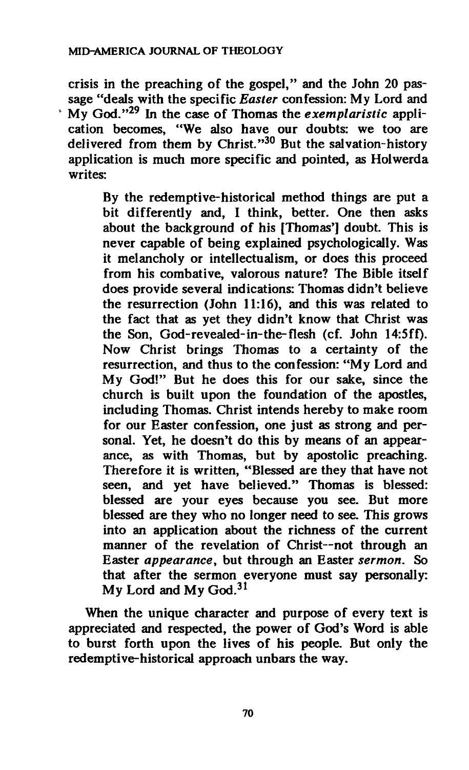**crisis in the preaching of the gospel," and the John 20 passage "deals with the specific** *Easter* **confession: My Lord and My God."<sup>29</sup> In the case of Thomas the** *exemplaristic* **application becomes, "We also have our doubts: we too are delivered from them by Christ."<sup>30</sup> But the salvation-history application is much more specific and pointed, as Holwerda writes:** 

> **By the redemptive-historical method things are put a bit differently and, I think, better. One then asks about the background of his [Thomas'] doubt. This is never capable of being explained psychologically. Was it melancholy or intellectual ism, or does this proceed from his combative, valorous nature? The Bible itself does provide several indications: Thomas didn't believe the resurrection (John 11:16), and this was related to the fact that as yet they didn't know that Christ was the Son, God-revealed-in-the-flesh (cf. John 14:5ff). Now Christ brings Thomas to a certainty of the resurrection, and thus to the confession: "My Lord and My God!" But he does this for our sake, since the church is built upon the foundation of the apostles, including Thomas. Christ intends hereby to make room for our Easter confession, one just as strong and personal. Yet, he doesn't do this by means of an appearance, as with Thomas, but by apostolic preaching. Therefore it is written, "Blessed are they that have not seen, and yet have believed." Thomas is blessed: blessed are your eyes because you see. But more blessed are they who no longer need to see. This grows into an application about the richness of the current manner of the revelation of Christ—not through an Easter** *appearance,* **but through an Easter** *sermon.* **So that after the sermon everyone must say personally: My Lord and My God.<sup>31</sup>**

**When the unique character and purpose of every text is appreciated and respected, the power of God's Word is able to burst forth upon the lives of his people. But only the redemptive-historical approach unbars the way.** 

**70**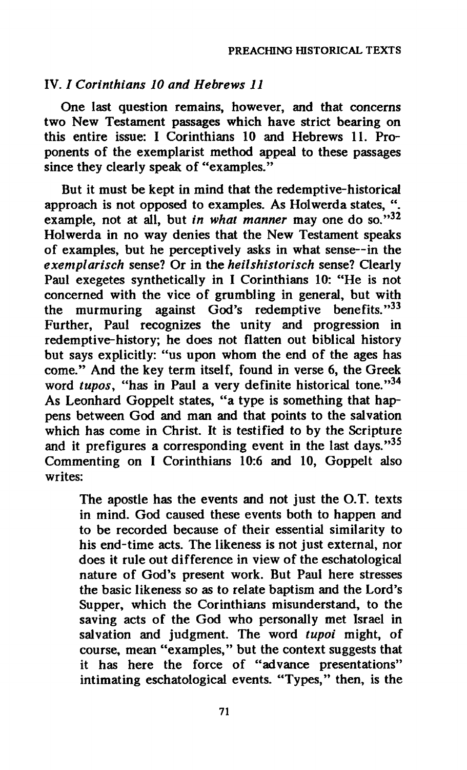#### **IV. /** *Corinthians 10 and Hebrews 11*

**One last question remains, however, and that concerns two New Testament passages which have strict bearing on this entire issue: I Corinthians 10 and Hebrews 11. Proponents of the exemplarist method appeal to these passages since they clearly speak of "examples."** 

**But it must be kept in mind that the redemptive-historical approach is not opposed to examples. As Holwerda states, ". example, not at all, but** *in what manner* **may one do so."<sup>32</sup> Holwerda in no way denies that the New Testament speaks of examples, but he perceptively asks in what sense—in the**  *exemplarisch* **sense? Or in the** *heilshistorisch* **sense? Clearly Paul exegetes synthetically in I Corinthians 10: "He is not concerned with the vice of grumbling in general, but with the murmuring against God's redemptive benefits."<sup>33</sup> Further, Paul recognizes the unity and progression in redemptive-history; he does not flatten out biblical history but says explicitly: "us upon whom the end of the ages has come." And the key term itself, found in verse 6, the Greek word** *tupos,* **"has in Paul a very definite historical tone."<sup>34</sup> As Leonhard Goppelt states, "a type is something that happens between God and man and that points to the salvation which has come in Christ. It is testified to by the Scripture and it prefigures a corresponding event in the last days."<sup>35</sup> Commenting on I Corinthians 10:6 and 10, Goppelt also writes:** 

**The apostle has the events and not just the O.T. texts in mind. God caused these events both to happen and to be recorded because of their essential similarity to his end-time acts. The likeness is not just external, nor does it rule out difference in view of the eschatological nature of God's present work. But Paul here stresses the basic likeness so as to relate baptism and the Lord's Supper, which the Corinthians misunderstand, to the saving acts of the God who personally met Israel in salvation and judgment. The word** *tupoi* **might, of course, mean "examples," but the context suggests that it has here the force of "advance presentations" intimating eschatological events. "Types," then, is the**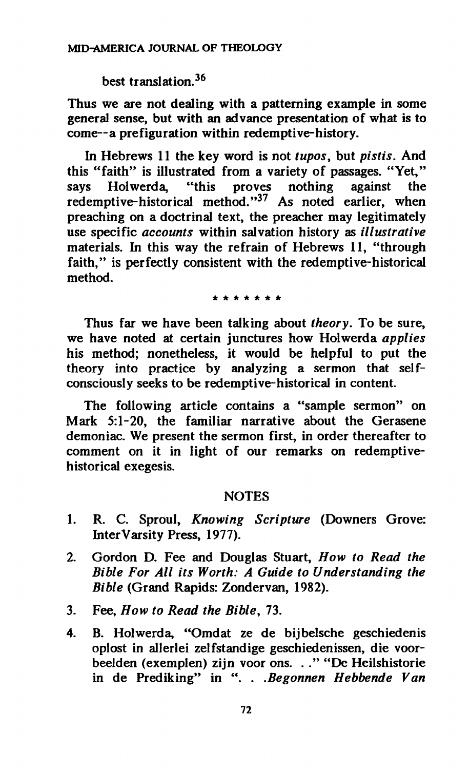**best translation.<sup>36</sup>**

**Thus we are not dealing with a patterning example in some general sense, but with an advance presentation of what is to come—a préfiguration within redemptive-history.** 

**In Hebrews 11 the key word is not** *tupos,* **but** *pistis.* **And this "faith" is illustrated from a variety of passages. "Yet," says Holwerda, "this proves nothing against the redemptive-historical method."<sup>37</sup> As noted earlier, when preaching on a doctrinal text, the preacher may legitimately use specific** *accounts* **within salvation history as** *illustrative*  **materials. In this way the refrain of Hebrews 11, "through faith," is perfectly consistent with the redemptive-historical method.** 

*\*\*\*\*\*\*\** 

**Thus far we have been talking about** *theory.* **To be sure, we have noted at certain junctures how Holwerda** *applies*  **his method; nonetheless, it would be helpful to put the theory into practice by analyzing a sermon that selfconsciously seeks to be redemptive-historical in content.** 

**The following article contains a "sample sermon" on Mark 5:1-20, the familiar narrative about the Gerasene demoniac. We present the sermon first, in order thereafter to comment on it in light of our remarks on redemptivehistorical exegesis.** 

#### **NOTES**

- **1. R. C. Sproul,** *Knowing Scripture* **(Downers Grove: Inter Varsity Press, 1977).**
- **2. Gordon D. Fee and Douglas Stuart,** *How to Read the Bible For All its Worth: A Guide to Understanding the Bible* **(Grand Rapids: Zondervan, 1982).**
- **3. Fee,** *How to Read the Bible,* **73.**
- **4. B. Holwerda, "Omdat ze de bijbelsche geschiedenis oplost in allerlei zelfstandige geschiedenissen, die voorbeelden (exemplen) zijn voor ons. . ." "De Heilshistorie in de Prediking" in ". .** *.Begonnen Hebbende Van*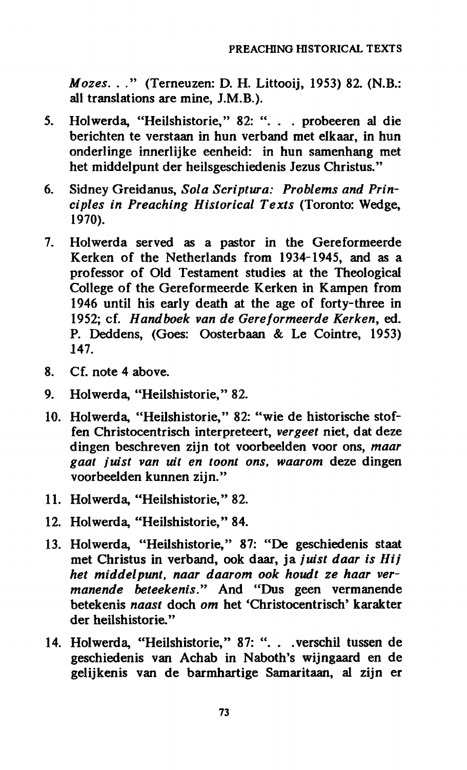*Mozes.* **. ." (Terneuzen: D. H. Littooij, 1953) 82. (N.B.: all translations are mine, J.M.B.).** 

- **5. Holwerda, "Heilshistorie," 82: ". . . probeeren al die berichten te verstaan in hun verband met elkaar, in hun onderlinge innerlijke eenheid: in hun samenhang met het middelpunt der heilsgeschiedenis Jezus Christus."**
- **6. Sidney Greidanus,** *Sola Scriptura: Problems and Principles in Preaching Historical Texts* **(Toronto: Wedge, 1970).**
- **7. Holwerda served as a pastor in the Gereformeerde Kerken of the Netherlands from 1934-1945, and as a professor of Old Testament studies at the Theological College of the Gereformeerde Kerken in Kampen from 1946 until his early death at the age of forty-three in 1952; cf.** *Handboek van de Gereformeerde Kerken,* **ed. P. Deddens, (Goes: Oosterbaan & Le Cointre, 1953) 147.**
- **8. Cf. note 4 above.**
- **9. Holwerda, "Heilshistorie," 82.**
- **10. Holwerda, "Heilshistorie," 82: "wie de historische Stoffen Christocentrisch interpreteert,** *vergeet* **niet, dat deze dingen beschreven zijn tot voorbeelden voor ons,** *maar gaat juist van uit en toont ons, waarom* **deze dingen voorbeelden kunnen zijn."**
- **11. Holwerda, "Heilshistorie," 82.**
- **12. Holwerda, "Heilshistorie," 84.**
- **13. Holwerda, "Heilshistorie," 87: "De geschiedenis Staat met Christus in verband, ook daar, ja** *juist daar is Hij het middelpunt, naar daarom ook houdt ze haar vermanende beteekenis."* **And "Dus geen vermanende betekenis** *naast* **doch** *om* **het 'Christocentrisch' karakter der heilshistorie."**
- **14. Holwerda, "Heilshistorie," 87: ". . .verschil tussen de geschiedenis van Achab in Naboth's wijngaard en de gelijkenis van de barmhartige Samaritaan, al zijn er**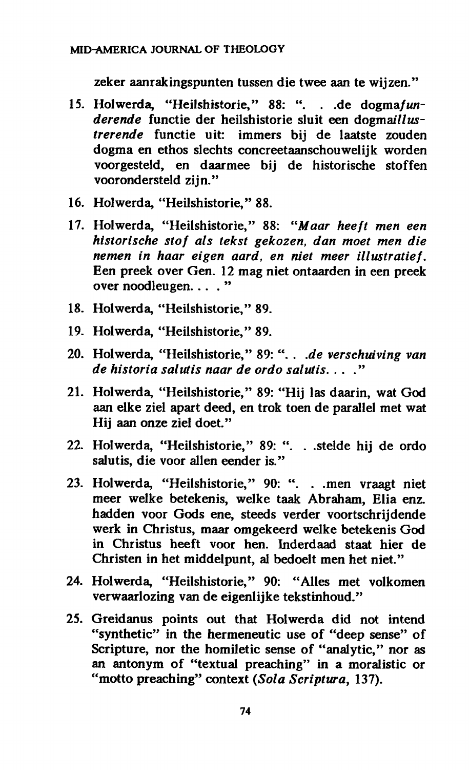#### **MID-AMERICA JOURNAL OF THEOLOGY**

**zeker aanrakingspunten tussen die twee aan te wijzen."** 

- **15. Holwerda, "Heilshistorie," 88: ". . .de** *dogmafun*derende functie der heilshistorie sluit een dogmaillus*trerende* **functie uit: immers bij de laatste zouden dogma en ethos slechts concreetaanschouwelijk worden voorgesteld, en daarmee bij de historische Stoffen voorondersteld zijn."**
- **16. Holwerda, "Heilshistorie," 88.**
- **17. Holwerda, "Heilshistorie," 88:** *"Maar heeft men een historische stof als tekst gekozen, dan moet men die nemen in haar eigen aard, en niet meer illustratief.*  **Een preek over Gen. 12 mag niet ontaarden in een preek over noodleugen. ... "**
- **18. Holwerda, "Heilshistorie," 89.**
- **19. Holwerda, "Heilshistorie," 89.**
- **20. Holwerda, "Heilshistorie," 89: ". .** *.de verschuiving van de historia salutis naar de ordo salutis.* **... "**
- **21. Holwerda, "Heilshistorie," 89: "Hij las daarin, wat God aan elke ziel apart deed, en trok toen de parallel met wat Hij aan onze ziel doet."**
- **22. Holwerda, "Heilshistorie," 89: ". . .stelde hij de ordo salutis, die voor alien eender is."**
- **23. Holwerda, "Heilshistorie," 90: ". . .men vraagt niet meer welke betekenis, welke taak Abraham, Elia enz. hadden voor Gods ene, steeds verder voortschrijdende werk in Christus, maar omgekeerd welke betekenis God in Christus heeft voor hen. Inderdaad Staat hier de Christen in het middelpunt, al bedoelt men het niet."**
- **24. Holwerda, "Heilshistorie," 90: "Alles met volkomen verwaarlozing van de eigenlijke tekstinhoud."**
- **25. Greidanus points out that Holwerda did not intend "synthetic" in the hermeneutic use of "deep sense" of Scripture, nor the homiletic sense of "analytic," nor as an antonym of "textual preaching" in a moralistic or "motto preaching" context** *(Sola Scriptura,* **137).**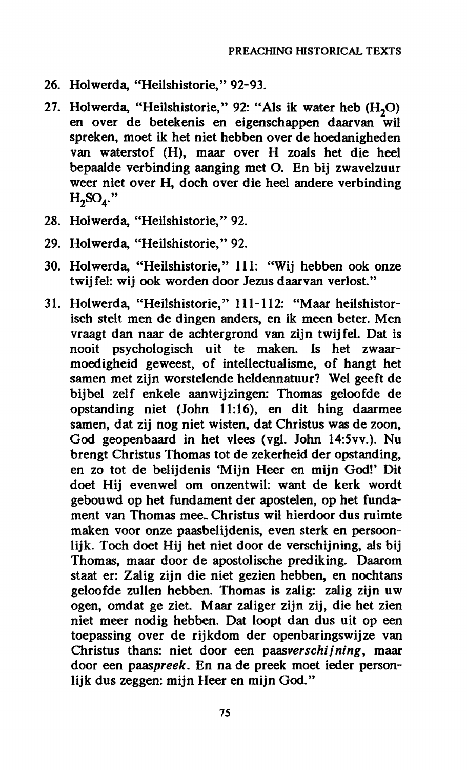- **26. Holwerda, "Heilshistorie," 92-93.**
- **27. Holwerda, "Heilshistorie," 92: "Als ik water heb (H20) en over de betekenis en eigenschappen daarvan wil spreken, moet ik het niet hebben over de hoedanigheden van waterstof (H), maar over H zoals het die heel bepaalde verbinding aanging met O. En bij zwavelzuur weer niet over H, doch over die heel andere verbinding H2S04."**
- **28. Holwerda, "Heilshistorie," 92.**
- **29. Holwerda, "Heilshistorie," 92.**
- **30. Holwerda, "Heilshistorie," 111: "Wij hebben ook onze twijfel: wij ook worden door Jezus daarvan verlost."**
- **31. Holwerda, "Heilshistorie," 111-112: "Maar heilshistorisch stelt men de dingen anders, en ik meen beter. Men vraagt dan naar de achtergrond van zijn twijfel. Dat is nooit psychologisch uit te maken. Is het zwaarmoedigheid geweest, of intellectualisme, of hangt het samen met zijn worstelende heldennatuur? Wei gee ft de bij bel zelf enkele aanwijzingen: Thomas geloofde de opstanding niet (John 11:16), en dit hing daarmee samen, dat zij nog niet wisten, dat Christus was de zoon, God geopenbaard in het vlees (vgl. John 14:5vv.). Nu brengt Christus Thomas tot de zekerheid der opstanding, en zo tot de belijdenis <sup>c</sup>Mijn Heer en mijn God!' Dit doet Hij evenwel om onzentwil: want de kerk wordt gebouwd op het fundament der apostelen, op het fundament van Thomas mee- Christus wil hierdoor dus ruimte maken voor onze paasbelijdenis, even sterk en persoonlijk. Toch doet Hij het niet door de verschijning, als bij Thomas, maar door de apostolische prediking. Daarom Staat er: Zalig zijn die niet gezien hebben, en nochtans geloofde zullen hebben. Thomas is zalig: zalig zijn uw ogen, omdat ge ziet. Maar zaliger zijn zij, die het zien niet meer nodig hebben. Dat loopt dan dus uit op een toepassing over de rijkdom der openbaringswijze van Christus thans: niet door een** *paasverschijning,* **maar door een** *paaspreek.* **En na de preek moet ieder personlijk dus zeggen: mijn Heer en mijn God."**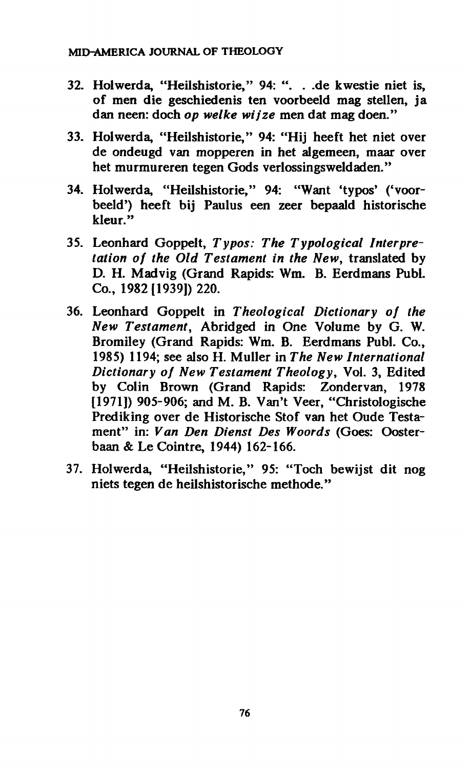- **32. Holwerda, "Heilshistorie," 94: ". . .de kwestie niet is, of men die geschiedenis ten voorbeeld mag stellen, ja dan neen: doch** *op welke wij'ze* **men dat mag doen."**
- **33. Holwerda, "Heilshistorie," 94: "Hij heeft het niet over de ondeugd van mopperen in het algemeen, maar over het murmureren tegen Gods verlossingsweldaden."**
- 34. Holwerda, "Heilshistorie," 94: "Want 'typos' ('voor**beeld') heeft bij Paulus een zeer bepaald historische kleur."**
- **35. Leonhard Goppelt,** *Typos: The Typological Interpretation of the Old Testament in the New,* **translated by D. H. Madvig (Grand Rapids: Wm. B. Eerdmans Pubi. Co., 1982 [1939]) 220.**
- **36. Leonhard Goppelt in** *Theological Dictionary of the New Testament,* **Abridged in One Volume by G. W. Bromiley (Grand Rapids: Wm. B. Eerdmans Pubi. Co., 1985) 1194; see also H. Muller in** *The New International Dictionary of New Testament Theology,* **Vol. 3, Edited by Colin Brown (Grand Rapids: Zondervan, 1978 [1971]) 905-906; and M. B. Van't Veer, "Christologische Prediking over de Historische Stof van het Oude Testament" in:** *Van Den Dienst Des Woords* **(Goes: Oosterbaan & Le Cointre, 1944) 162-166.**
- **37. Holwerda, "Heilshistorie," 95: "Toch bewijst dit nog niets tegen de heilshistorische méthode."**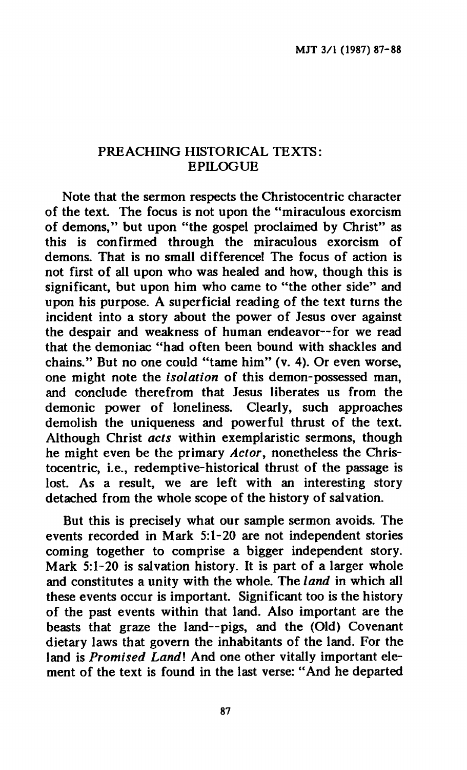### **PREACHING HISTORICAL TEXTS: EPILOGUE**

**Note that the sermon respects the Christocentric character of the text. The focus is not upon the "miraculous exorcism of demons," but upon "the gospel proclaimed by Christ" as this is confirmed through the miraculous exorcism of demons. That is no small difference! The focus of action is not first of all upon who was healed and how, though this is significant, but upon him who came to "the other side" and upon his purpose. A superficial reading of the text turns the incident into a story about the power of Jesus over against the despair and weakness of human endeavor—for we read that the demoniac "had often been bound with shackles and chains." But no one could "tame him" (v. 4). Or even worse, one might note the** *isolation* **of this demon-possessed man, and conclude therefrom that Jesus liberates us from the demonic power of loneliness. Clearly, such approaches demolish the uniqueness and powerful thrust of the text. Although Christ** *acts* **within exemplaristic sermons, though he might even be the primary** *Actor,* **nonetheless the Christocentric, i.e., redemptive-historical thrust of the passage is lost. As a result, we are left with an interesting story detached from the whole scope of the history of salvation.** 

**But this is precisely what our sample sermon avoids. The events recorded in Mark 5:1-20 are not independent stories coming together to comprise a bigger independent story. Mark 5:1-20 is salvation history. It is part of a larger whole and constitutes a unity with the whole. The** *land* **in which all these events occur is important. Significant too is the history of the past events within that land. Also important are the beasts that graze the land—pigs, and the (Old) Covenant dietary laws that govern the inhabitants of the land. For the land is** *Promised Landl* **And one other vitally important element of the text is found in the last verse: "And he departed**